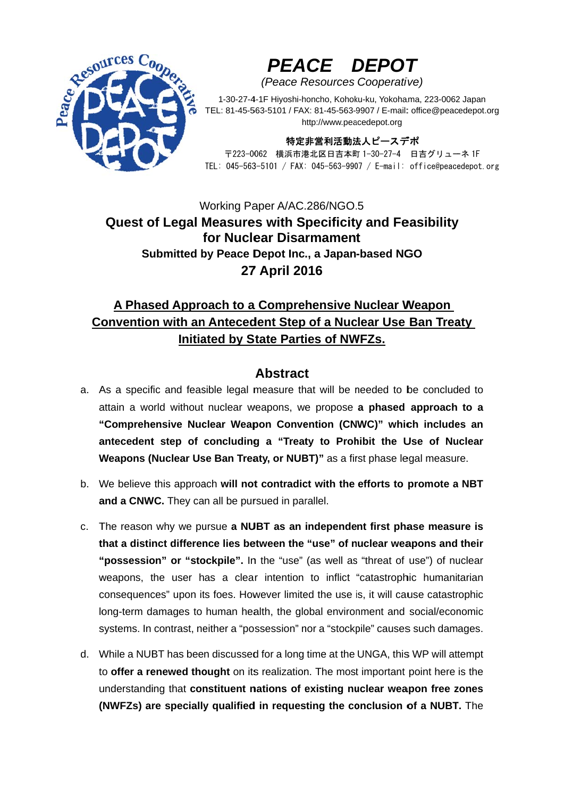

# PEACE DEPOT

(Peace Resources Cooperative)

1-30-27-4-1F Hiyoshi-honcho, Kohoku-ku, Yokohama, 223-0062 Japan TEL: 81-45-563-5101 / FAX: 81-45-563-9907 / E-mail: office@peacedepot.org http://www.peacedepot.org

#### 特定非営利活動法人ピースデポ

〒223-0062 横浜市港北区日吉本町 1-30-27-4 日吉グリューネ 1F TEL: 045-563-5101 / FAX: 045-563-9907 / E-mail: office@peacedepot.org

### Working Paper A/AC.286/NGO.5 **Quest of Legal Measures with Specificity and Feasibility** for Nuclear Disarmament Submitted by Peace Depot Inc., a Japan-based NGO **27 April 2016**

## A Phased Approach to a Comprehensive Nuclear Weapon Convention with an Antecedent Step of a Nuclear Use Ban Treaty **Initiated by State Parties of NWFZs.**

#### **Abstract**

- a. As a specific and feasible legal measure that will be needed to be concluded to attain a world without nuclear weapons, we propose a phased approach to a "Comprehensive Nuclear Weapon Convention (CNWC)" which includes an antecedent step of concluding a "Treaty to Prohibit the Use of Nuclear Weapons (Nuclear Use Ban Treaty, or NUBT)" as a first phase legal measure.
- b. We believe this approach will not contradict with the efforts to promote a NBT and a CNWC. They can all be pursued in parallel.
- c. The reason why we pursue a NUBT as an independent first phase measure is that a distinct difference lies between the "use" of nuclear weapons and their "possession" or "stockpile". In the "use" (as well as "threat of use") of nuclear weapons, the user has a clear intention to inflict "catastrophic humanitarian consequences" upon its foes. However limited the use is, it will cause catastrophic long-term damages to human health, the global environment and social/economic systems. In contrast, neither a "possession" nor a "stockpile" causes such damages.
- d. While a NUBT has been discussed for a long time at the UNGA, this WP will attempt to offer a renewed thought on its realization. The most important point here is the understanding that constituent nations of existing nuclear weapon free zones (NWFZs) are specially qualified in requesting the conclusion of a NUBT. The